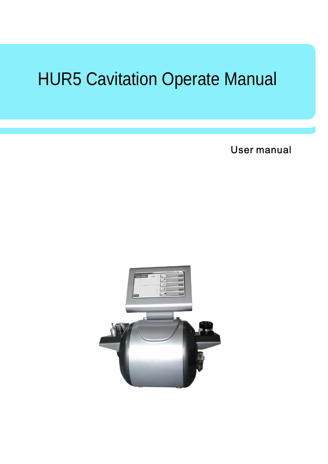# HUR5 Cavitation Operate Manual

User manual

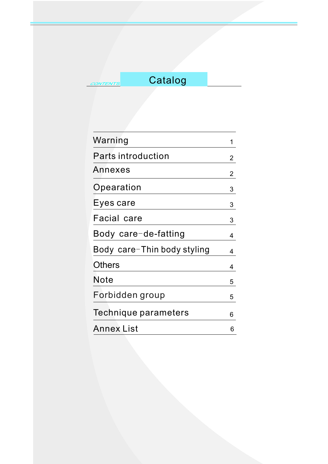# **Catalog**

| Warning                     | 1              |
|-----------------------------|----------------|
| Parts introduction          | 2              |
| Annexes                     | $\overline{2}$ |
| Opearation                  | 3              |
| Eyes care                   | 3              |
| Facial care                 | 3              |
| Body care-de-fatting        | 4              |
| Body care-Thin body styling | 4              |
| Others                      | 4              |
| Note                        | 5              |
| Forbidden group             | 5              |
| Technique parameters        | 6              |
| <b>Annex List</b>           | 6              |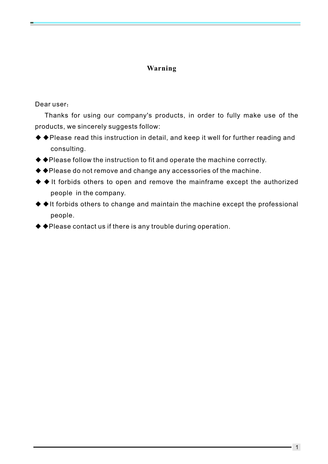## **Warning**

#### Dear user:

Thanks for using our company's products, in order to fully make use of the products, we sincerely suggests follow:

- ◆◆Please read this instruction in detail, and keep it well for further reading and consulting.
- ◆◆Please follow the instruction to fit and operate the machine correctly.
- ◆◆Please do not remove and change any accessories of the machine.
- ◆ ◆ It forbids others to open and remove the mainframe except the authorized people in the company.
- ◆ ◆It forbids others to change and maintain the machine except the professional people.
- ◆◆Please contact us if there is any trouble during operation.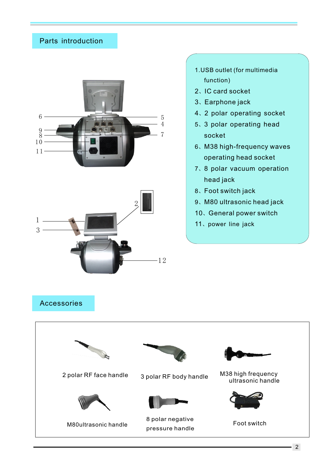# Parts introduction





- .USB outlet (for multimedia function)
- 、IC card socket
- 、 Earphone jack
- 、2 polar operating socket
- 、3 polar operating head socket
- 、M38 high-frequency waves operating head socket
- 、8 polar vacuum operation head jack
- 、 Foot switch jack
- 、M80 ultrasonic head jack
- 、 General power switch
- 、power line jack

## Accessories

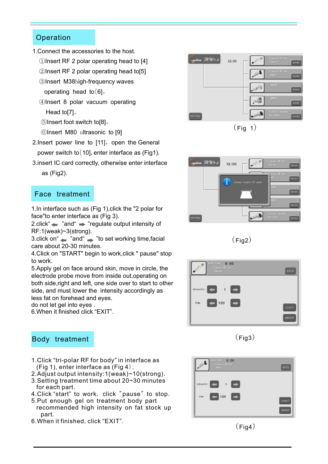#### **Operation**

- 1. Connect the accessories to the host.
	- ①Insert RF 2 polar operating head to [4]

②Insert RF 2 polar operating head to[5]

- ③Insert M38high-frequency waves operating head to $[6]$ .
- ④Insert 8 polar vacuum operating Head to[7]。
- ⑤ [8]。 Insert foot switch to
	- ⑥Insert M80 ultrasonic to [9]
- 2. Insert power line to [11], open the General power switch to [10], enter interface as (Fig1).
- 3.insert IC card correctly, otherwise enter interface as (Fig2).

#### Face treatment

1 .In interface such as (Fig 1),click the "2 polar for face"to enter interface as (Fig 3).

2.click  $\blacktriangleleft$  "and"  $\blacktriangleright$  "regulate output intensity of RF:1(weak)~3(strong).

3.click on " $\blacktriangle$  "and " $\blacktriangleright$  "to set working time, facial care about 20-30 minutes.

4.Click on "START" begin to work,click " pause" stop to work.

5.Apply gel on face around skin, move in circle, the electrode probe move from inside out,operating on both side,right and left, one side over to start to other side, and must lower the intensity accordingly as less fat on forehead and eyes. do not let gel into eyes .

6.When it finished click "EXIT".

#### Body treatment

- 1.Click "tri-polar RF for body" in interface as (Fig 1), enter interface as (Fig 4).
- 2.Adjust output intensity:1(weak)~10(strong). 3.Setting treatment time about 20~30 minutes
- for each part.
- 4.Click "start" to work, click "pause" to stop.
- 5.Put enough gel on treatment body part recommended high intensity on fat stock up part.
- 6.When it finished, click "EXIT".



 $(Fiq 1)$ 











 $(Fig4)$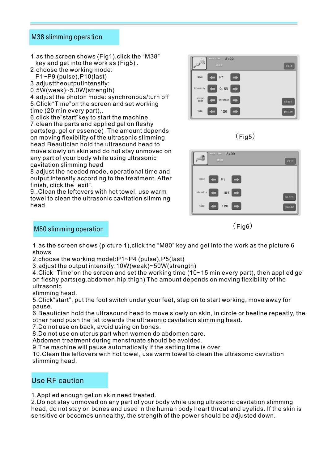#### M38 slimming operation

1.as the screen shows (Fig1),click the "M38" key and get into the work as (Fig5) .

2.choose the working mode:

- P1~P9 (pulse),P10(last)
- 3.adjusttheoutputintensify: 0.5W(weak)~5.0W(strength)

4.adjust the photon mode: synchronous/turn off 5.Click "Time"on the screen and set working time (20 min every part),.

6.click the"start"key to start the machine. 7.clean the parts and applied gel on fleshy parts(eg. gel or essence) .The amount depends on moving flexibility of the ultrasonic slimming head.Beautician hold the ultrasound head to move slowly on skin and do not stay unmoved on any part of your body while using ultrasonic cavitation slimming head

8.adjust the needed mode, operational time and output intensify according to the treatment. After finish, click the "exit".

9..Clean the leftovers with hot towel, use warm towel to clean the ultrasonic cavitation slimming head.



 $(Fiq5)$ 



 $(Fia6)$ 

#### M80 slimming operation

1.as the screen shows (picture 1),click the "M80" key and get into the work as the picture 6 shows

2.choose the working model:P1~P4 (pulse),P5(last)

3.adjust the output intensify:10W(weak)~50W(strength)

4.Click "Time"on the screen and set the working time (10~15 min every part), then applied gel on fleshy parts(eg.abdomen,hip,thigh) The amount depends on moving flexibility of the ultrasonic

slimming head.

5.Click"start", put the foot switch under your feet, step on to start working, move away for pause.

6.Beautician hold the ultrasound head to move slowly on skin, in circle or beeline repeatly, the other hand push the fat towards the ultrasonic cavitation slimming head.

7.Do not use on back, avoid using on bones.

8.Do not use on uterus part when women do abdomen care.

Abdomen treatment during menstruate should be avoided.

9.The machine will pause automatically if the setting time is over.

10.Clean the leftovers with hot towel, use warm towel to clean the ultrasonic cavitation slimming head.

# Use RF caution

1.Applied enough gel on skin need treated.

2.Do not stay unmoved on any part of your body while using ultrasonic cavitation slimming head, do not stay on bones and used in the human body heart throat and eyelids. If the skin is sensitive or becomes unhealthy, the strength of the power should be adjusted down.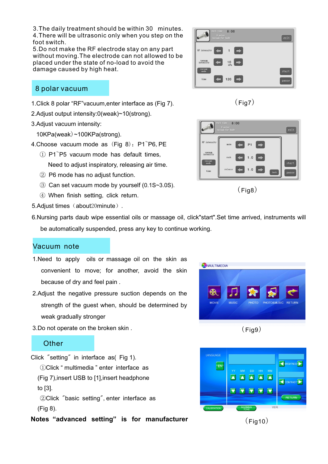3.The daily treatment should be within 30 minutes. 4.There will be ultrasonic only when you step on the foot switch.

5.Do not make the RF electrode stay on any part without moving.The electrode can not allowed to be placed under the state of no-load to avoid the damage caused by high heat.

#### 8 polar vacuum

- 1.Click 8 polar "RF"vacuum,enter interface as (Fig 7).
- 2.Adjust output intensity:0(weak)~10(strong).
- 3.Adjust vacuum intensity:
- $10$ KPa(weak) ~100KPa(strong).
- 4.Choose vacuum mode as  $(Fig 8)$ : P1 $\tilde{}$ P6, PE
- $\textcircled{1}$  P1 $\textcircled{P5}$  vacuum mode has default times, Need to adjust inspiratory, releasing air time.
	- ② P6 mode has no adjust function.
	- ③ Can set vacuum mode by yourself (0.1S~3.0S).
	- ④ When finish setting, click return.
- 5.Adjust times (about20minute).
- 6.Nursing parts daub wipe essential oils or massage oil, click"start".Set time arrived, instruments will be automatically suspended, press any key to continue working.

#### Vacuum note

- 1. Need to apply oils or massage oil on the skin as convenient to move; for another, avoid the skin because of dry and feel pain .
- 2.Adjust the negative pressure suction depends on the strength of the guest when, should be determined by weak gradually stronger
- 3.Do not operate on the broken skin .

#### **Other**

to [3].

- Click "setting" in interface as( Fig 1). ①Click " multimedia " enter interface as (Fig 7),insert USB to [1],insert headphone
	- ②Click "basic setting",enter interface as (Fig 8).
- **Notes "advanced setting" is for manufacturer**





 $8:00$ **RF** intensity

vacuum<br>intensity  $\frac{vacuum}{\frac{1}{2}}$ 

 $time$ 

 $\sqrt{\frac{1}{2}}$ 

.<br>Dause

 $(Fia8)$ 

 $1.0$ 



 $(Fia7)$ 

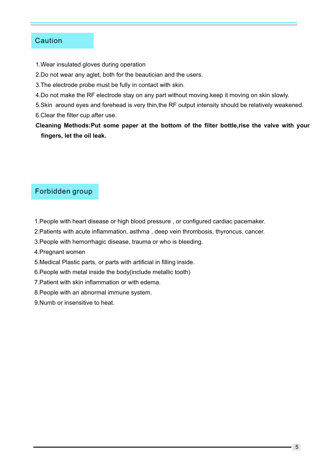#### **Caution**

- 1.Wear insulated gloves during operation
- 2.Do not wear any aglet, both for the beautician and the users.
- 3.The electrode probe must be fully in contact with skin.
- 4.Do not make the RF electrode stay on any part without moving.keep it moving on skin slowly.
- 5.Skin around eyes and forehead is very thin,the RF output intensity should be relatively weakened.
- 6.Clear the filter cup after use.
- **Cleaning Methods:Put some paper at the bottom of the filter bottle,rise the valve with your fingers, let the oil leak.**

#### Forbidden group

- 1.People with heart disease or high blood pressure , or configured cardiac pacemaker.
- 2.Patients with acute inflammation, asthma , deep vein thrombosis, thyroncus, cancer.
- 3.People with hemorrhagic disease, trauma or who is bleeding.
- 4.Pregnant women
- 5.Medical Plastic parts, or parts with artificial in filling inside.
- 6.People with metal inside the body(include metallic tooth)
- 7.Patient with skin inflammation or with edema.
- 8.People with an abnormal immune system.
- 9.Numb or insensitive to heat.